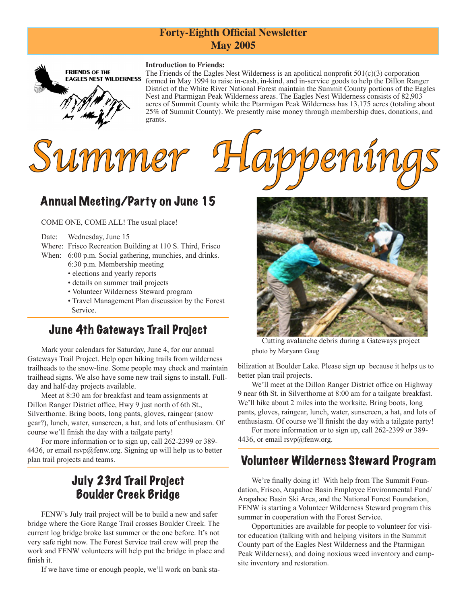#### **Forty-Eighth Official Newsletter May 2005**

#### **Introduction to Friends:**



The Friends of the Eagles Nest Wilderness is an apolitical nonprofit  $501(c)(3)$  corporation formed in May 1994 to raise in-cash, in-kind, and in-service goods to help the Dillon Ranger District of the White River National Forest maintain the Summit County portions of the Eagles Nest and Ptarmigan Peak Wilderness areas. The Eagles Nest Wilderness consists of 82,903 acres of Summit County while the Ptarmigan Peak Wilderness has 13,175 acres (totaling about 25% of Summit County). We presently raise money through membership dues, donations, and grants.





# Annual Meeting/Party on June 15

COME ONE, COME ALL! The usual place!

#### Date: Wednesday, June 15

- Where: Frisco Recreation Building at 110 S. Third, Frisco When: 6:00 p.m. Social gathering, munchies, and drinks.
	- 6:30 p.m. Membership meeting
		- elections and yearly reports
		- details on summer trail projects
		- Volunteer Wilderness Steward program
		- Travel Management Plan discussion by the Forest Service.

### June 4th Gateways Trail Project

Mark your calendars for Saturday, June 4, for our annual Gateways Trail Project. Help open hiking trails from wilderness trailheads to the snow-line. Some people may check and maintain trailhead signs. We also have some new trail signs to install. Fullday and half-day projects available.

Meet at 8:30 am for breakfast and team assignments at Dillon Ranger District office, Hwy 9 just north of 6th St., Silverthorne. Bring boots, long pants, gloves, raingear (snow gear?), lunch, water, sunscreen, a hat, and lots of enthusiasm. Of course we'll finish the day with a tailgate party!

 For more information or to sign up, call 262-2399 or 389- 4436, or email  $rsvp@$  fenw.org. Signing up will help us to better plan trail projects and teams.

### July 23rd Trail Project Boulder Creek Bridge

 FENW's July trail project will be to build a new and safer bridge where the Gore Range Trail crosses Boulder Creek. The current log bridge broke last summer or the one before. It's not very safe right now. The Forest Service trail crew will prep the work and FENW volunteers will help put the bridge in place and finish it.

 If we have time or enough people, we'll work on bank sta-



Cutting avalanche debris during a Gateways project photo by Maryann Gaug

bilization at Boulder Lake. Please sign up because it helps us to better plan trail projects.

 We'll meet at the Dillon Ranger District office on Highway 9 near 6th St. in Silverthorne at 8:00 am for a tailgate breakfast. We'll hike about 2 miles into the worksite. Bring boots, long pants, gloves, raingear, lunch, water, sunscreen, a hat, and lots of enthusiasm. Of course we'll finisht the day with a tailgate party!

 For more information or to sign up, call 262-2399 or 389- 4436, or email rsvp@fenw.org.

### Volunteer Wilderness Steward Program

We're finally doing it! With help from The Summit Foundation, Frisco, Arapahoe Basin Employee Environmental Fund/ Arapahoe Basin Ski Area, and the National Forest Foundation, FENW is starting a Volunteer Wilderness Steward program this summer in cooperation with the Forest Service.

 Opportunities are available for people to volunteer for visitor education (talking with and helping visitors in the Summit County part of the Eagles Nest Wilderness and the Ptarmigan Peak Wilderness), and doing noxious weed inventory and campsite inventory and restoration.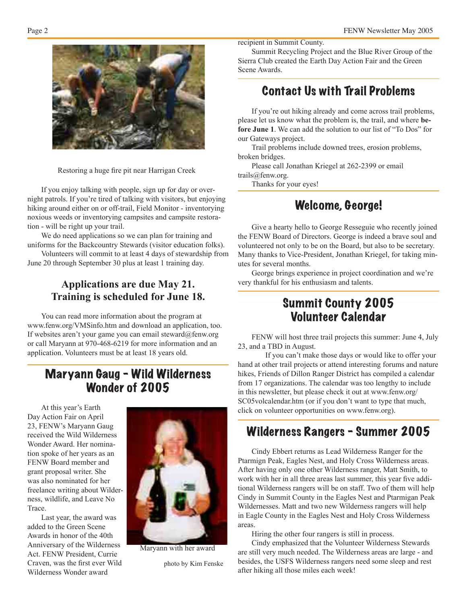

Restoring a huge fire pit near Harrigan Creek

 If you enjoy talking with people, sign up for day or overnight patrols. If you're tired of talking with visitors, but enjoying hiking around either on or off-trail, Field Monitor - inventorying noxious weeds or inventorying campsites and campsite restoration - will be right up your trail.

We do need applications so we can plan for training and uniforms for the Backcountry Stewards (visitor education folks).

 Volunteers will commit to at least 4 days of stewardship from June 20 through September 30 plus at least 1 training day.

#### **Applications are due May 21. Training is scheduled for June 18.**

You can read more information about the program at www.fenw.org/VMSinfo.htm and download an application, too. If websites aren't your game you can email steward@fenw.org or call Maryann at 970-468-6219 for more information and an application. Volunteers must be at least 18 years old.

### Maryann Gaug - Wild Wilderness Wonder of 2005

 At this year's Earth Day Action Fair on April 23, FENW's Maryann Gaug received the Wild Wilderness Wonder Award. Her nomination spoke of her years as an FENW Board member and grant proposal writer. She was also nominated for her freelance writing about Wilderness, wildlife, and Leave No Trace.

 Last year, the award was added to the Green Scene Awards in honor of the 40th Anniversary of the Wilderness Act. FENW President, Currie Craven, was the first ever Wild Wilderness Wonder award



Maryann with her award

photo by Kim Fenske

recipient in Summit County.

 Summit Recycling Project and the Blue River Group of the Sierra Club created the Earth Day Action Fair and the Green Scene Awards.

### Contact Us with Trail Problems

 If you're out hiking already and come across trail problems, please let us know what the problem is, the trail, and where **before June 1**. We can add the solution to our list of "To Dos" for our Gateways project.

 Trail problems include downed trees, erosion problems, broken bridges.

 Please call Jonathan Kriegel at 262-2399 or email trails@fenw.org.

Thanks for your eyes!

#### Welcome, George!

 Give a hearty hello to George Resseguie who recently joined the FENW Board of Directors. George is indeed a brave soul and volunteered not only to be on the Board, but also to be secretary. Many thanks to Vice-President, Jonathan Kriegel, for taking minutes for several months.

 George brings experience in project coordination and we're very thankful for his enthusiasm and talents.

#### Summit County 2005 Volunteer Calendar

 FENW will host three trail projects this summer: June 4, July 23, and a TBD in August.

 If you can't make those days or would like to offer your hand at other trail projects or attend interesting forums and nature hikes, Friends of Dillon Ranger District has compiled a calendar from 17 organizations. The calendar was too lengthy to include in this newsletter, but please check it out at www.fenw.org/ SC05volcalendar.htm (or if you don't want to type that much, click on volunteer opportunities on www.fenw.org).

## Wilderness Rangers - Summer 2005

Cindy Ebbert returns as Lead Wilderness Ranger for the Ptarmign Peak, Eagles Nest, and Holy Cross Wilderness areas. After having only one other Wilderness ranger, Matt Smith, to work with her in all three areas last summer, this year five additional Wilderness rangers will be on staff. Two of them will help Cindy in Summit County in the Eagles Nest and Ptarmigan Peak Wildernesses. Matt and two new Wilderness rangers will help in Eagle County in the Eagles Nest and Holy Cross Wilderness areas.

 Hiring the other four rangers is still in process.

 Cindy emphasized that the Volunteer Wilderness Stewards are still very much needed. The Wilderness areas are large - and besides, the USFS Wilderness rangers need some sleep and rest after hiking all those miles each week!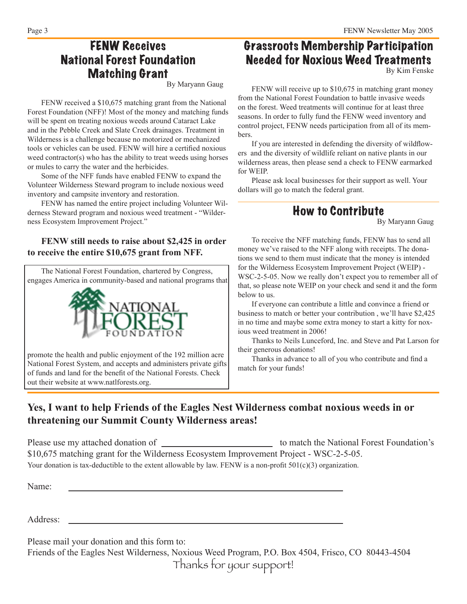### FENW Receives National Forest Foundation Matching Grant

By Maryann Gaug

 FENW received a \$10,675 matching grant from the National Forest Foundation (NFF)! Most of the money and matching funds will be spent on treating noxious weeds around Cataract Lake and in the Pebble Creek and Slate Creek drainages. Treatment in Wilderness is a challenge because no motorized or mechanized tools or vehicles can be used. FENW will hire a certified noxious weed contractor(s) who has the ability to treat weeds using horses or mules to carry the water and the herbicides.

 Some of the NFF funds have enabled FENW to expand the Volunteer Wilderness Steward program to include noxious weed inventory and campsite inventory and restoration.

 FENW has named the entire project including Volunteer Wilderness Steward program and noxious weed treatment - "Wilderness Ecosystem Improvement Project."

#### **FENW still needs to raise about \$2,425 in order to receive the entire \$10,675 grant from NFF.**

The National Forest Foundation, chartered by Congress, engages America in community-based and national programs that



promote the health and public enjoyment of the 192 million acre National Forest System, and accepts and administers private gifts of funds and land for the benefit of the National Forests. Check out their website at www.natlforests.org.

# Grassroots Membership Participation Needed for Noxious Weed Treatments

By Kim Fenske

 FENW will receive up to \$10,675 in matching grant money from the National Forest Foundation to battle invasive weeds on the forest. Weed treatments will continue for at least three seasons. In order to fully fund the FENW weed inventory and control project, FENW needs participation from all of its members.

 If you are interested in defending the diversity of wildflowers and the diversity of wildlife reliant on native plants in our wilderness areas, then please send a check to FENW earmarked for WEIP.

 Please ask local businesses for their support as well. Your dollars will go to match the federal grant.

#### How to Contribute

By Maryann Gaug

 To receive the NFF matching funds, FENW has to send all money we've raised to the NFF along with receipts. The donations we send to them must indicate that the money is intended for the Wilderness Ecosystem Improvement Project (WEIP) - WSC-2-5-05. Now we really don't expect you to remember all of that, so please note WEIP on your check and send it and the form below to us.

 If everyone can contribute a little and convince a friend or business to match or better your contribution , we'll have \$2,425 in no time and maybe some extra money to start a kitty for noxious weed treatment in 2006!

 Thanks to Neils Lunceford, Inc. and Steve and Pat Larson for their generous donations!

 Thanks in advance to all of you who contribute and find a match for your funds!

#### **Yes, I want to help Friends of the Eagles Nest Wilderness combat noxious weeds in or threatening our Summit County Wilderness areas!**

Please use my attached donation of to match the National Forest Foundation's \$10,675 matching grant for the Wilderness Ecosystem Improvement Project - WSC-2-5-05. Your donation is tax-deductible to the extent allowable by law. FENW is a non-profit 501(c)(3) organization.

Name:

Address:

Please mail your donation and this form to:

Friends of the Eagles Nest Wilderness, Noxious Weed Program, P.O. Box 4504, Frisco, CO 80443-4504 Thanks for your support!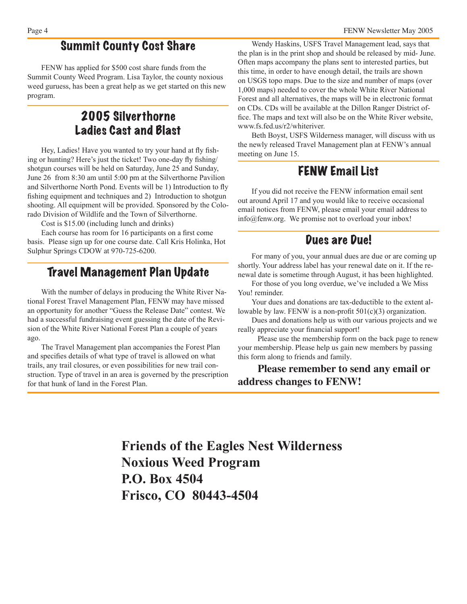#### Summit County Cost Share

 FENW has applied for \$500 cost share funds from the Summit County Weed Program. Lisa Taylor, the county noxious weed guruess, has been a great help as we get started on this new program.

### 2005 Silverthorne Ladies Cast and Blast

Hey, Ladies! Have you wanted to try your hand at fly fishing or hunting? Here's just the ticket! Two one-day fly fishing/ shotgun courses will be held on Saturday, June 25 and Sunday, June 26 from 8:30 am until 5:00 pm at the Silverthorne Pavilion and Silverthorne North Pond. Events will be 1) Introduction to fly fishing equipment and techniques and 2) Introduction to shotgun shooting. All equipment will be provided. Sponsored by the Colorado Division of Wildlife and the Town of Silverthorne.

 Cost is \$15.00 (including lunch and drinks)

 Each course has room for 16 participants on a first come basis. Please sign up for one course date. Call Kris Holinka, Hot Sulphur Springs CDOW at 970-725-6200.

### Travel Management Plan Update

 With the number of delays in producing the White River National Forest Travel Management Plan, FENW may have missed an opportunity for another "Guess the Release Date" contest. We had a successful fundraising event guessing the date of the Revision of the White River National Forest Plan a couple of years ago.

 The Travel Management plan accompanies the Forest Plan and specifies details of what type of travel is allowed on what trails, any trail closures, or even possibilities for new trail construction. Type of travel in an area is governed by the prescription for that hunk of land in the Forest Plan.

 Wendy Haskins, USFS Travel Management lead, says that the plan is in the print shop and should be released by mid- June. Often maps accompany the plans sent to interested parties, but this time, in order to have enough detail, the trails are shown on USGS topo maps. Due to the size and number of maps (over 1,000 maps) needed to cover the whole White River National Forest and all alternatives, the maps will be in electronic format on CDs. CDs will be available at the Dillon Ranger District office. The maps and text will also be on the White River website, www.fs.fed.us/r2/whiteriver.

 Beth Boyst, USFS Wilderness manager, will discuss with us the newly released Travel Management plan at FENW's annual meeting on June 15.

### FENW Email List

 If you did not receive the FENW information email sent out around April 17 and you would like to receive occasional email notices from FENW, please email your email address to info@fenw.org. We promise not to overload your inbox!

#### Dues are Due!

For many of you, your annual dues are due or are coming up shortly. Your address label has your renewal date on it. If the renewal date is sometime through August, it has been highlighted.

 For those of you long overdue, we've included a We Miss You! reminder.

 Your dues and donations are tax-deductible to the extent allowable by law. FENW is a non-profit 501(c)(3) organization.

 Dues and donations help us with our various projects and we really appreciate your financial support!

Please use the membership form on the back page to renew your membership. Please help us gain new members by passing this form along to friends and family.

**Please remember to send any email or address changes to FENW!**

**Friends of the Eagles Nest Wilderness Noxious Weed Program P.O. Box 4504 Frisco, CO 80443-4504**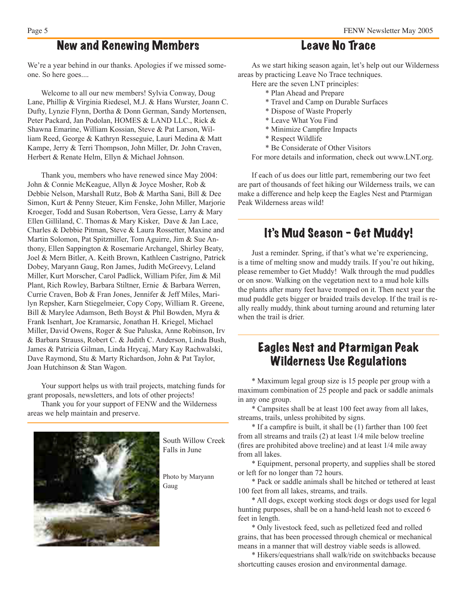### New and Renewing Members

We're a year behind in our thanks. Apologies if we missed someone. So here goes....

 Welcome to all our new members! Sylvia Conway, Doug Lane, Phillip & Virginia Riedesel, M.J. & Hans Wurster, Joann C. Dufty, Lynzie Flynn, Dortha & Donn German, Sandy Mortensen, Peter Packard, Jan Podolan, HOMES & LAND LLC., Rick & Shawna Emarine, William Kossian, Steve & Pat Larson, William Reed, George & Kathryn Resseguie, Lauri Medina & Matt Kampe, Jerry & Terri Thompson, John Miller, Dr. John Craven, Herbert & Renate Helm, Ellyn & Michael Johnson.

 Thank you, members who have renewed since May 2004: John & Connie McKeague, Allyn & Joyce Mosher, Rob & Debbie Nelson, Marshall Rutz, Bob & Martha Sani, Bill & Dee Simon, Kurt & Penny Steuer, Kim Fenske, John Miller, Marjorie Kroeger, Todd and Susan Robertson, Vera Gesse, Larry & Mary Ellen Gilliland, C. Thomas & Mary Kisker, Dave & Jan Lace, Charles & Debbie Pitman, Steve & Laura Rossetter, Maxine and Martin Solomon, Pat Spitzmiller, Tom Aguirre, Jim & Sue Anthony, Ellen Sappington & Rosemarie Archangel, Shirley Beaty, Joel & Mern Bitler, A. Keith Brown, Kathleen Castrigno, Patrick Dobey, Maryann Gaug, Ron James, Judith McGreevy, Leland Miller, Kurt Morscher, Carol Padlick, William Pifer, Jim & Mil Plant, Rich Rowley, Barbara Stiltner, Ernie & Barbara Werren, Currie Craven, Bob & Fran Jones, Jennifer & Jeff Miles, Marilyn Repsher, Karn Stiegelmeier, Copy Copy, William R. Greene, Bill & Marylee Adamson, Beth Boyst & Phil Bowden, Myra & Frank Isenhart, Joe Kramarsic, Jonathan H. Kriegel, Michael Miller, David Owens, Roger & Sue Paluska, Anne Robinson, Irv & Barbara Strauss, Robert C. & Judith C. Anderson, Linda Bush, James & Patricia Gilman, Linda Hrycaj, Mary Kay Rachwalski, Dave Raymond, Stu & Marty Richardson, John & Pat Taylor, Joan Hutchinson & Stan Wagon.

 Your support helps us with trail projects, matching funds for grant proposals, newsletters, and lots of other projects!

Thank you for your support of FENW and the Wilderness areas we help maintain and preserve.



South Willow Creek Falls in June

Photo by Maryann Gaug

#### Leave No Trace

 As we start hiking season again, let's help out our Wilderness areas by practicing Leave No Trace techniques.

- Here are the seven LNT principles:
	- \* Plan Ahead and Prepare
	- \* Travel and Camp on Durable Surfaces
	- \* Dispose of Waste Properly
	- \* Leave What You Find
	- \* Minimize Campfire Impacts
	- \* Respect Wildlife
	- \* Be Considerate of Other Visitors

 For more details and information, check out www.LNT.org.

 If each of us does our little part, remembering our two feet are part of thousands of feet hiking our Wilderness trails, we can make a difference and help keep the Eagles Nest and Ptarmigan Peak Wilderness areas wild!

### It's Mud Season - Get Muddy!

 Just a reminder. Spring, if that's what we're experiencing, is a time of melting snow and muddy trails. If you're out hiking, please remember to Get Muddy! Walk through the mud puddles or on snow. Walking on the vegetation next to a mud hole kills the plants after many feet have tromped on it. Then next year the mud puddle gets bigger or braided trails develop. If the trail is really really muddy, think about turning around and returning later when the trail is drier.

## Eagles Nest and Ptarmigan Peak Wilderness Use Regulations

 \* Maximum legal group size is 15 people per group with a maximum combination of 25 people and pack or saddle animals in any one group.

 \* Campsites shall be at least 100 feet away from all lakes, streams, trails, unless prohibited by signs.

 \* If a campfire is built, it shall be (1) farther than 100 feet from all streams and trails (2) at least 1/4 mile below treeline (fires are prohibited above treeline) and at least 1/4 mile away from all lakes.

 \* Equipment, personal property, and supplies shall be stored or left for no longer than 72 hours.

 \* Pack or saddle animals shall be hitched or tethered at least 100 feet from all lakes, streams, and trails.

 \* All dogs, except working stock dogs or dogs used for legal hunting purposes, shall be on a hand-held leash not to exceed 6 feet in length.

 \* Only livestock feed, such as pelletized feed and rolled grains, that has been processed through chemical or mechanical means in a manner that will destroy viable seeds is allowed.

 \* Hikers/equestrians shall walk/ride on switchbacks because shortcutting causes erosion and environmental damage.